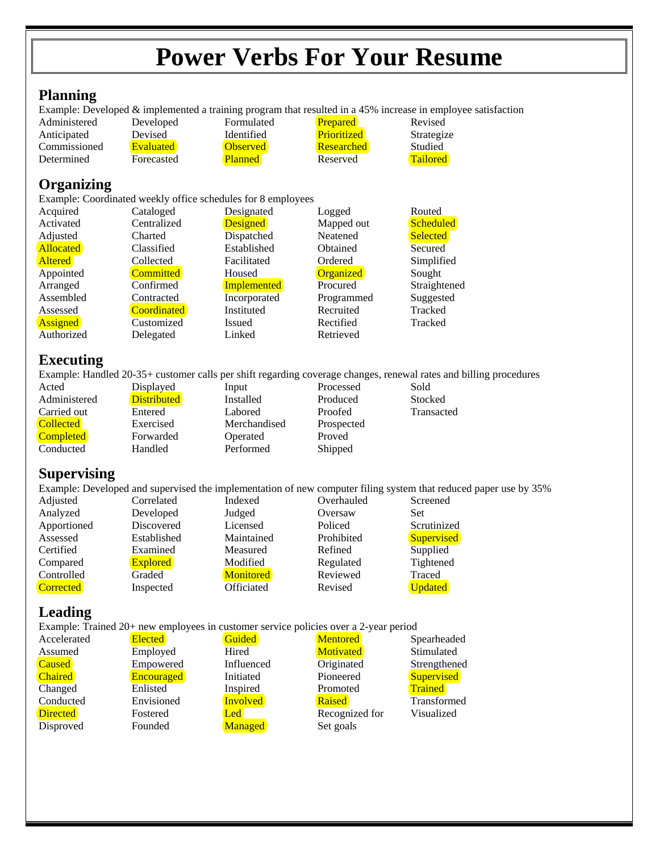# **Power Verbs For Your Resume**

#### **Planning**

Example: Developed & implemented a training program that resulted in a 45% increase in employee satisfaction

| Administered | Developed        | Formulated      | <b>Prepared</b>    | Revised         |
|--------------|------------------|-----------------|--------------------|-----------------|
| Anticipated  | Devised          | Identified      | <b>Prioritized</b> | Strategize      |
| Commissioned | <b>Evaluated</b> | <b>Observed</b> | <b>Researched</b>  | Studied         |
| Determined   | Forecasted       | <b>Planned</b>  | Reserved           | <b>Tailored</b> |

# **Organizing**

Example: Coordinated weekly office schedules for 8 employees

| Acquired         | Cataloged          | Designated         | Logged           | Routed          |
|------------------|--------------------|--------------------|------------------|-----------------|
| Activated        | Centralized        | <b>Designed</b>    | Mapped out       | Scheduled       |
| Adjusted         | Charted            | Dispatched         | Neatened         | <b>Selected</b> |
| <b>Allocated</b> | Classified         | Established        | <b>O</b> btained | Secured         |
| <b>Altered</b>   | Collected          | Facilitated        | Ordered          | Simplified      |
| Appointed        | <b>Committed</b>   | Housed             | Organized        | Sought          |
| Arranged         | Confirmed          | <b>Implemented</b> | Procured         | Straightened    |
| Assembled        | Contracted         | Incorporated       | Programmed       | Suggested       |
| Assessed         | <b>Coordinated</b> | Instituted         | Recruited        | Tracked         |
| <b>Assigned</b>  | Customized         | Issued             | Rectified        | Tracked         |
| Authorized       | Delegated          | Linked             | Retrieved        |                 |

### **Executing**

Example: Handled 20-35+ customer calls per shift regarding coverage changes, renewal rates and billing procedures

| Acted            | Displayed          | Input        | Processed  | Sold       |
|------------------|--------------------|--------------|------------|------------|
| Administered     | <b>Distributed</b> | Installed    | Produced   | Stocked    |
| Carried out      | Entered            | Labored      | Proofed    | Transacted |
| <b>Collected</b> | Exercised          | Merchandised | Prospected |            |
| <b>Completed</b> | Forwarded          | Operated     | Proved     |            |
| Conducted        | Handled            | Performed    | Shipped    |            |

### **Supervising**

Example: Developed and supervised the implementation of new computer filing system that reduced paper use by 35%<br>
Adjusted Correlated Indexed Overhauled Screened Correlated Indexed Overhauled Screened Analyzed Developed Judged Oversaw Set Apportioned Discovered Licensed Policed Scrutinized<br>
Assessed Established Maintained Prohibited Supervised Assessed Established Maintained Prohibited Supervised<br>Certified Examined Measured Refined Supplied Certified Examined Measured Refined Compared Explored Modified Regulated Tightened<br>
Controlled Graded Monitored Reviewed Traced Controlled Graded Monitored Reviewed **Corrected** Inspected Officiated Revised Updated

# **Leading**

Example: Trained 20+ new employees in customer service policies over a 2-year period

| Accelerated     | <b>Elected</b>    | Guided          | <b>Mentored</b>  | Spearheaded       |
|-----------------|-------------------|-----------------|------------------|-------------------|
| Assumed         | Employed          | Hired           | <b>Motivated</b> | Stimulated        |
| <b>Caused</b>   | Empowered         | Influenced      | Originated       | Strengthened      |
| <b>Chaired</b>  | <b>Encouraged</b> | Initiated       | Pioneered        | <b>Supervised</b> |
| Changed         | Enlisted          | Inspired        | Promoted         | Trained           |
| Conducted       | Envisioned        | <b>Involved</b> | <b>Raised</b>    | Transformed       |
| <b>Directed</b> | Fostered          | Led             | Recognized for   | Visualized        |
| Disproved       | Founded           | <b>Managed</b>  | Set goals        |                   |
|                 |                   |                 |                  |                   |